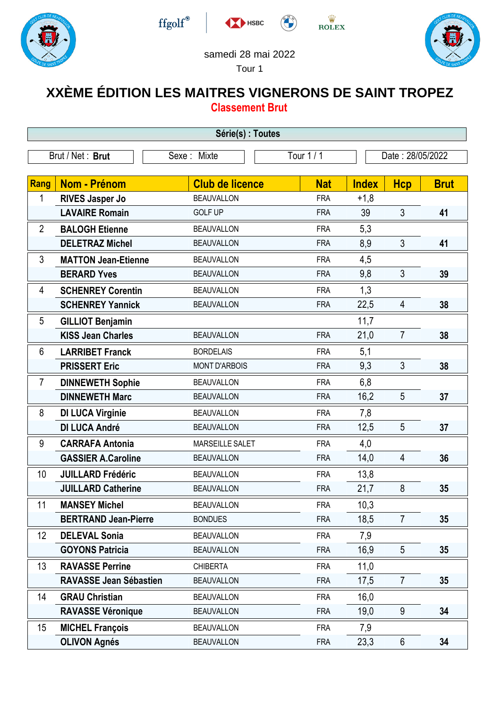







## samedi 28 mai 2022

HSBC

## Tour 1

## **XXÈME ÉDITION LES MAITRES VIGNERONS DE SAINT TROPEZ Classement Brut**

| Série(s) : Toutes |                               |                        |            |              |                  |             |  |
|-------------------|-------------------------------|------------------------|------------|--------------|------------------|-------------|--|
| Brut / Net: Brut  |                               | Sexe: Mixte            | Tour $1/1$ |              | Date: 28/05/2022 |             |  |
|                   |                               |                        |            |              |                  |             |  |
| Rang              | <b>Nom - Prénom</b>           | <b>Club de licence</b> | <b>Nat</b> | <b>Index</b> | <b>Hcp</b>       | <b>Brut</b> |  |
| 1                 | <b>RIVES Jasper Jo</b>        | <b>BEAUVALLON</b>      | <b>FRA</b> | $+1,8$       |                  |             |  |
|                   | <b>LAVAIRE Romain</b>         | <b>GOLF UP</b>         | <b>FRA</b> | 39           | 3                | 41          |  |
| $\overline{2}$    | <b>BALOGH Etienne</b>         | <b>BEAUVALLON</b>      | <b>FRA</b> | 5,3          |                  |             |  |
|                   | <b>DELETRAZ Michel</b>        | <b>BEAUVALLON</b>      | <b>FRA</b> | 8,9          | 3                | 41          |  |
| 3                 | <b>MATTON Jean-Etienne</b>    | <b>BEAUVALLON</b>      | <b>FRA</b> | 4,5          |                  |             |  |
|                   | <b>BERARD Yves</b>            | <b>BEAUVALLON</b>      | <b>FRA</b> | 9,8          | 3                | 39          |  |
| 4                 | <b>SCHENREY Corentin</b>      | <b>BEAUVALLON</b>      | <b>FRA</b> | 1,3          |                  |             |  |
|                   | <b>SCHENREY Yannick</b>       | <b>BEAUVALLON</b>      | <b>FRA</b> | 22,5         | 4                | 38          |  |
| 5                 | <b>GILLIOT Benjamin</b>       |                        |            | 11,7         |                  |             |  |
|                   | <b>KISS Jean Charles</b>      | <b>BEAUVALLON</b>      | <b>FRA</b> | 21,0         | $\overline{7}$   | 38          |  |
| 6                 | <b>LARRIBET Franck</b>        | <b>BORDELAIS</b>       | <b>FRA</b> | 5,1          |                  |             |  |
|                   | <b>PRISSERT Eric</b>          | <b>MONT D'ARBOIS</b>   | <b>FRA</b> | 9,3          | 3                | 38          |  |
| $\overline{7}$    | <b>DINNEWETH Sophie</b>       | <b>BEAUVALLON</b>      | <b>FRA</b> | 6,8          |                  |             |  |
|                   | <b>DINNEWETH Marc</b>         | <b>BEAUVALLON</b>      | <b>FRA</b> | 16,2         | 5                | 37          |  |
| 8                 | <b>DI LUCA Virginie</b>       | <b>BEAUVALLON</b>      | <b>FRA</b> | 7,8          |                  |             |  |
|                   | <b>DI LUCA André</b>          | <b>BEAUVALLON</b>      | <b>FRA</b> | 12,5         | 5                | 37          |  |
| 9                 | <b>CARRAFA Antonia</b>        | <b>MARSEILLE SALET</b> | <b>FRA</b> | 4,0          |                  |             |  |
|                   | <b>GASSIER A.Caroline</b>     | <b>BEAUVALLON</b>      | <b>FRA</b> | 14,0         | 4                | 36          |  |
| 10                | <b>JUILLARD Frédéric</b>      | <b>BEAUVALLON</b>      | <b>FRA</b> | 13,8         |                  |             |  |
|                   | <b>JUILLARD Catherine</b>     | <b>BEAUVALLON</b>      | <b>FRA</b> | 21,7         | 8                | 35          |  |
| 11                | <b>MANSEY Michel</b>          | <b>BEAUVALLON</b>      | <b>FRA</b> | 10,3         |                  |             |  |
|                   | <b>BERTRAND Jean-Pierre</b>   | <b>BONDUES</b>         | <b>FRA</b> | 18,5         | $\overline{7}$   | 35          |  |
| 12                | <b>DELEVAL Sonia</b>          | <b>BEAUVALLON</b>      | <b>FRA</b> | 7,9          |                  |             |  |
|                   | <b>GOYONS Patricia</b>        | <b>BEAUVALLON</b>      | <b>FRA</b> | 16,9         | 5                | 35          |  |
| 13                | <b>RAVASSE Perrine</b>        | <b>CHIBERTA</b>        | <b>FRA</b> | 11,0         |                  |             |  |
|                   | <b>RAVASSE Jean Sébastien</b> | <b>BEAUVALLON</b>      | <b>FRA</b> | 17,5         | $\overline{7}$   | 35          |  |
| 14                | <b>GRAU Christian</b>         | <b>BEAUVALLON</b>      | <b>FRA</b> | 16,0         |                  |             |  |
|                   | <b>RAVASSE Véronique</b>      | <b>BEAUVALLON</b>      | <b>FRA</b> | 19,0         | 9                | 34          |  |
| 15                | <b>MICHEL François</b>        | <b>BEAUVALLON</b>      | <b>FRA</b> | 7,9          |                  |             |  |
|                   | <b>OLIVON Agnés</b>           | <b>BEAUVALLON</b>      | <b>FRA</b> | 23,3         | $6\phantom{.}$   | 34          |  |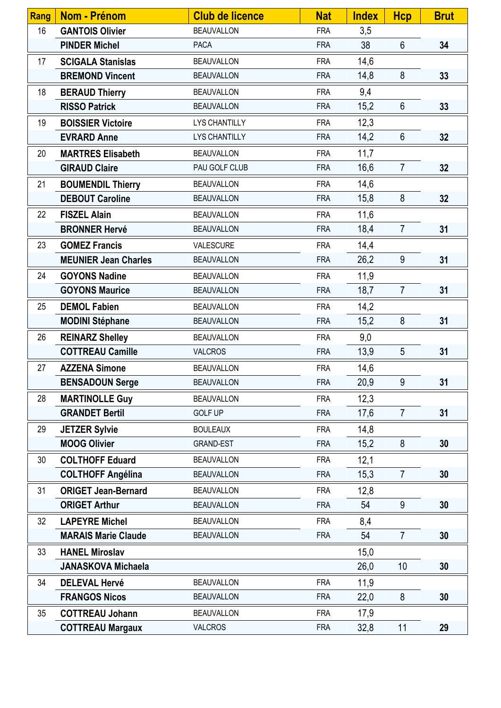| <b>Rang</b> | <b>Nom - Prénom</b>         | <b>Club de licence</b> | <b>Nat</b> | <b>Index</b> | <b>Hcp</b>     | <b>Brut</b> |
|-------------|-----------------------------|------------------------|------------|--------------|----------------|-------------|
| 16          | <b>GANTOIS Olivier</b>      | <b>BEAUVALLON</b>      | <b>FRA</b> | 3,5          |                |             |
|             | <b>PINDER Michel</b>        | <b>PACA</b>            | <b>FRA</b> | 38           | $6\phantom{a}$ | 34          |
| 17          | <b>SCIGALA Stanislas</b>    | <b>BEAUVALLON</b>      | <b>FRA</b> | 14,6         |                |             |
|             | <b>BREMOND Vincent</b>      | <b>BEAUVALLON</b>      | <b>FRA</b> | 14,8         | 8              | 33          |
| 18          | <b>BERAUD Thierry</b>       | <b>BEAUVALLON</b>      | <b>FRA</b> | 9,4          |                |             |
|             | <b>RISSO Patrick</b>        | <b>BEAUVALLON</b>      | <b>FRA</b> | 15,2         | $6\phantom{1}$ | 33          |
| 19          | <b>BOISSIER Victoire</b>    | <b>LYS CHANTILLY</b>   | <b>FRA</b> | 12,3         |                |             |
|             | <b>EVRARD Anne</b>          | <b>LYS CHANTILLY</b>   | <b>FRA</b> | 14,2         | 6              | 32          |
| 20          | <b>MARTRES Elisabeth</b>    | <b>BEAUVALLON</b>      | <b>FRA</b> | 11,7         |                |             |
|             | <b>GIRAUD Claire</b>        | PAU GOLF CLUB          | <b>FRA</b> | 16,6         | $\overline{7}$ | 32          |
| 21          | <b>BOUMENDIL Thierry</b>    | <b>BEAUVALLON</b>      | <b>FRA</b> | 14,6         |                |             |
|             | <b>DEBOUT Caroline</b>      | <b>BEAUVALLON</b>      | <b>FRA</b> | 15,8         | 8              | 32          |
| 22          | <b>FISZEL Alain</b>         | <b>BEAUVALLON</b>      | <b>FRA</b> | 11,6         |                |             |
|             | <b>BRONNER Hervé</b>        | <b>BEAUVALLON</b>      | <b>FRA</b> | 18,4         | $\overline{7}$ | 31          |
| 23          | <b>GOMEZ Francis</b>        | VALESCURE              | <b>FRA</b> | 14,4         |                |             |
|             | <b>MEUNIER Jean Charles</b> | <b>BEAUVALLON</b>      | <b>FRA</b> | 26,2         | 9              | 31          |
| 24          | <b>GOYONS Nadine</b>        | <b>BEAUVALLON</b>      | <b>FRA</b> | 11,9         |                |             |
|             | <b>GOYONS Maurice</b>       | <b>BEAUVALLON</b>      | <b>FRA</b> | 18,7         | $\overline{7}$ | 31          |
| 25          | <b>DEMOL Fabien</b>         | <b>BEAUVALLON</b>      | <b>FRA</b> | 14,2         |                |             |
|             | <b>MODINI Stéphane</b>      | <b>BEAUVALLON</b>      | <b>FRA</b> | 15,2         | 8              | 31          |
| 26          | <b>REINARZ Shelley</b>      | <b>BEAUVALLON</b>      | <b>FRA</b> | 9,0          |                |             |
|             | <b>COTTREAU Camille</b>     | <b>VALCROS</b>         | <b>FRA</b> | 13,9         | 5              | 31          |
| 27          | <b>AZZENA Simone</b>        | <b>BEAUVALLON</b>      | <b>FRA</b> | 14,6         |                |             |
|             | <b>BENSADOUN Serge</b>      | <b>BEAUVALLON</b>      | <b>FRA</b> | 20,9         | 9              | 31          |
| 28          | <b>MARTINOLLE Guy</b>       | <b>BEAUVALLON</b>      | <b>FRA</b> | 12,3         |                |             |
|             | <b>GRANDET Bertil</b>       | <b>GOLF UP</b>         | <b>FRA</b> | 17,6         | $\overline{7}$ | 31          |
| 29          | <b>JETZER Sylvie</b>        | <b>BOULEAUX</b>        | <b>FRA</b> | 14,8         |                |             |
|             | <b>MOOG Olivier</b>         | <b>GRAND-EST</b>       | <b>FRA</b> | 15,2         | 8              | 30          |
| 30          | <b>COLTHOFF Eduard</b>      | <b>BEAUVALLON</b>      | <b>FRA</b> | 12,1         |                |             |
|             | <b>COLTHOFF Angélina</b>    | <b>BEAUVALLON</b>      | <b>FRA</b> | 15,3         | $\overline{7}$ | 30          |
| 31          | <b>ORIGET Jean-Bernard</b>  | <b>BEAUVALLON</b>      | <b>FRA</b> | 12,8         |                |             |
|             | <b>ORIGET Arthur</b>        | <b>BEAUVALLON</b>      | <b>FRA</b> | 54           | 9              | 30          |
| 32          | <b>LAPEYRE Michel</b>       | <b>BEAUVALLON</b>      | <b>FRA</b> | 8,4          |                |             |
|             | <b>MARAIS Marie Claude</b>  | <b>BEAUVALLON</b>      | <b>FRA</b> | 54           | $\overline{7}$ | 30          |
| 33          | <b>HANEL Miroslav</b>       |                        |            | 15,0         |                |             |
|             | <b>JANASKOVA Michaela</b>   |                        |            | 26,0         | 10             | 30          |
| 34          | <b>DELEVAL Hervé</b>        | <b>BEAUVALLON</b>      | <b>FRA</b> | 11,9         |                |             |
|             | <b>FRANGOS Nicos</b>        | <b>BEAUVALLON</b>      | <b>FRA</b> | 22,0         | 8              | 30          |
| 35          | <b>COTTREAU Johann</b>      | <b>BEAUVALLON</b>      | <b>FRA</b> | 17,9         |                |             |
|             | <b>COTTREAU Margaux</b>     | <b>VALCROS</b>         | <b>FRA</b> | 32,8         | 11             | 29          |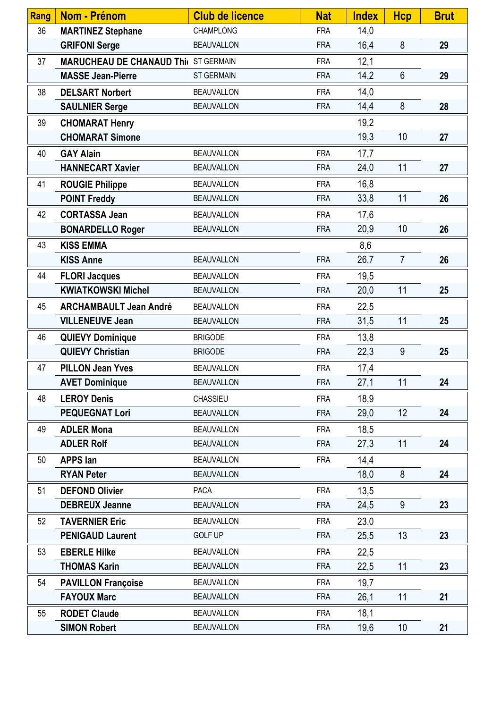| Rang | <b>Nom - Prénom</b>                         | <b>Club de licence</b> | <b>Nat</b> | <b>Index</b> | <b>Hcp</b>      | <b>Brut</b> |
|------|---------------------------------------------|------------------------|------------|--------------|-----------------|-------------|
| 36   | <b>MARTINEZ Stephane</b>                    | <b>CHAMPLONG</b>       | <b>FRA</b> | 14,0         |                 |             |
|      | <b>GRIFONI Serge</b>                        | <b>BEAUVALLON</b>      | <b>FRA</b> | 16,4         | 8               | 29          |
| 37   | <b>MARUCHEAU DE CHANAUD Thi( ST GERMAIN</b> |                        | <b>FRA</b> | 12,1         |                 |             |
|      | <b>MASSE Jean-Pierre</b>                    | <b>ST GERMAIN</b>      | <b>FRA</b> | 14,2         | $6\phantom{1}$  | 29          |
| 38   | <b>DELSART Norbert</b>                      | <b>BEAUVALLON</b>      | <b>FRA</b> | 14,0         |                 |             |
|      | <b>SAULNIER Serge</b>                       | <b>BEAUVALLON</b>      | <b>FRA</b> | 14,4         | 8               | 28          |
| 39   | <b>CHOMARAT Henry</b>                       |                        |            | 19,2         |                 |             |
|      | <b>CHOMARAT Simone</b>                      |                        |            | 19,3         | 10              | 27          |
| 40   | <b>GAY Alain</b>                            | <b>BEAUVALLON</b>      | <b>FRA</b> | 17,7         |                 |             |
|      | <b>HANNECART Xavier</b>                     | <b>BEAUVALLON</b>      | <b>FRA</b> | 24,0         | 11              | 27          |
| 41   | <b>ROUGIE Philippe</b>                      | <b>BEAUVALLON</b>      | <b>FRA</b> | 16,8         |                 |             |
|      | <b>POINT Freddy</b>                         | <b>BEAUVALLON</b>      | <b>FRA</b> | 33,8         | 11              | 26          |
| 42   | <b>CORTASSA Jean</b>                        | <b>BEAUVALLON</b>      | <b>FRA</b> | 17,6         |                 |             |
|      | <b>BONARDELLO Roger</b>                     | <b>BEAUVALLON</b>      | <b>FRA</b> | 20,9         | 10              | 26          |
| 43   | <b>KISS EMMA</b>                            |                        |            | 8,6          |                 |             |
|      | <b>KISS Anne</b>                            | <b>BEAUVALLON</b>      | <b>FRA</b> | 26,7         | $\overline{7}$  | 26          |
| 44   | <b>FLORI Jacques</b>                        | <b>BEAUVALLON</b>      | <b>FRA</b> | 19,5         |                 |             |
|      | <b>KWIATKOWSKI Michel</b>                   | <b>BEAUVALLON</b>      | <b>FRA</b> | 20,0         | 11              | 25          |
| 45   | <b>ARCHAMBAULT Jean André</b>               | <b>BEAUVALLON</b>      | <b>FRA</b> | 22,5         |                 |             |
|      | <b>VILLENEUVE Jean</b>                      | <b>BEAUVALLON</b>      | <b>FRA</b> | 31,5         | 11              | 25          |
| 46   | <b>QUIEVY Dominique</b>                     | <b>BRIGODE</b>         | <b>FRA</b> | 13,8         |                 |             |
|      | <b>QUIEVY Christian</b>                     | <b>BRIGODE</b>         | <b>FRA</b> | 22,3         | 9               | 25          |
| 47   | <b>PILLON Jean Yves</b>                     | <b>BEAUVALLON</b>      | <b>FRA</b> | 17,4         |                 |             |
|      | <b>AVET Dominique</b>                       | <b>BEAUVALLON</b>      | <b>FRA</b> | 27,1         | 11              | 24          |
| 48   | <b>LEROY Denis</b>                          | <b>CHASSIEU</b>        | <b>FRA</b> | 18,9         |                 |             |
|      | <b>PEQUEGNAT Lori</b>                       | <b>BEAUVALLON</b>      | <b>FRA</b> | 29,0         | 12 <sup>°</sup> | 24          |
| 49   | <b>ADLER Mona</b>                           | <b>BEAUVALLON</b>      | <b>FRA</b> | 18,5         |                 |             |
|      | <b>ADLER Rolf</b>                           | <b>BEAUVALLON</b>      | <b>FRA</b> | 27,3         | 11              | 24          |
| 50   | <b>APPS lan</b>                             | <b>BEAUVALLON</b>      | <b>FRA</b> | 14,4         |                 |             |
|      | <b>RYAN Peter</b>                           | <b>BEAUVALLON</b>      |            | 18,0         | 8               | 24          |
| 51   | <b>DEFOND Olivier</b>                       | <b>PACA</b>            | <b>FRA</b> | 13,5         |                 |             |
|      | <b>DEBREUX Jeanne</b>                       | <b>BEAUVALLON</b>      | <b>FRA</b> | 24,5         | 9               | 23          |
| 52   | <b>TAVERNIER Eric</b>                       | <b>BEAUVALLON</b>      | <b>FRA</b> | 23,0         |                 |             |
|      | <b>PENIGAUD Laurent</b>                     | <b>GOLF UP</b>         | <b>FRA</b> | 25,5         | 13              | 23          |
| 53   | <b>EBERLE Hilke</b>                         | <b>BEAUVALLON</b>      | <b>FRA</b> | 22,5         |                 |             |
|      | <b>THOMAS Karin</b>                         | <b>BEAUVALLON</b>      | <b>FRA</b> | 22,5         | 11              | 23          |
| 54   | <b>PAVILLON Françoise</b>                   | <b>BEAUVALLON</b>      | <b>FRA</b> | 19,7         |                 |             |
|      | <b>FAYOUX Marc</b>                          | <b>BEAUVALLON</b>      | <b>FRA</b> | 26,1         | 11              | 21          |
| 55   | <b>RODET Claude</b>                         | <b>BEAUVALLON</b>      | <b>FRA</b> | 18,1         |                 |             |
|      | <b>SIMON Robert</b>                         | <b>BEAUVALLON</b>      | <b>FRA</b> | 19,6         | 10 <sup>°</sup> | 21          |